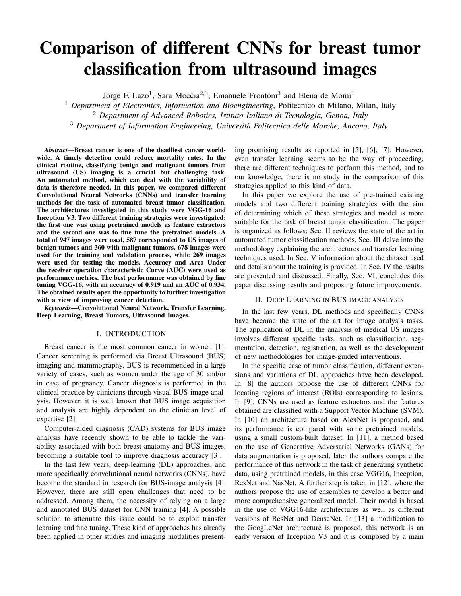# Comparison of different CNNs for breast tumor classification from ultrasound images

Jorge F. Lazo<sup>1</sup>, Sara Moccia<sup>2,3</sup>, Emanuele Frontoni<sup>3</sup> and Elena de Momi<sup>1</sup>

<sup>1</sup> Department of Electronics, Information and Bioengineering, Politecnico di Milano, Milan, Italy <sup>2</sup> *Department of Advanced Robotics, Istituto Italiano di Tecnologia, Genoa, Italy* <sup>3</sup> *Department of Information Engineering, Universita Politecnica delle Marche, Ancona, Italy `*

*Abstract*—Breast cancer is one of the deadliest cancer worldwide. A timely detection could reduce mortality rates. In the clinical routine, classifying benign and malignant tumors from ultrasound (US) imaging is a crucial but challenging task. An automated method, which can deal with the variability of data is therefore needed. In this paper, we compared different Convolutional Neural Networks (CNNs) and transfer learning methods for the task of automated breast tumor classification. The architectures investigated in this study were VGG-16 and Inception V3. Two different training strategies were investigated: the first one was using pretrained models as feature extractors and the second one was to fine tune the pretrained models. A total of 947 images were used, 587 corresponded to US images of benign tumors and 360 with malignant tumors. 678 images were used for the training and validation process, while 269 images were used for testing the models. Accuracy and Area Under the receiver operation characteristic Curve (AUC) were used as performance metrics. The best performance was obtained by fine tuning VGG-16, with an accuracy of 0.919 and an AUC of 0.934. The obtained results open the opportunity to further investigation with a view of improving cancer detection.

*Keywords*—Convolutional Neural Network, Transfer Learning, Deep Learning, Breast Tumors, Ultrasound Images.

#### I. INTRODUCTION

Breast cancer is the most common cancer in women [1]. Cancer screening is performed via Breast Ultrasound (BUS) imaging and mammography. BUS is recommended in a large variety of cases, such as women under the age of 30 and/or in case of pregnancy. Cancer diagnosis is performed in the clinical practice by clinicians through visual BUS-image analysis. However, it is well known that BUS image acquisition and analysis are highly dependent on the clinician level of expertise [2].

Computer-aided diagnosis (CAD) systems for BUS image analysis have recently shown to be able to tackle the variability associated with both breast anatomy and BUS images, becoming a suitable tool to improve diagnosis accuracy [3].

In the last few years, deep-learning (DL) approaches, and more specifically convolutional neural networks (CNNs), have become the standard in research for BUS-image analysis [4]. However, there are still open challenges that need to be addressed. Among them, the necessity of relying on a large and annotated BUS dataset for CNN training [4]. A possible solution to attenuate this issue could be to exploit transfer learning and fine tuning. These kind of approaches has already been applied in other studies and imaging modalities presenting promising results as reported in [5], [6], [7]. However, even transfer learning seems to be the way of proceeding, there are different techniques to perform this method, and to our knowledge, there is no study in the comparison of this strategies applied to this kind of data.

In this paper we explore the use of pre-trained existing models and two different training strategies with the aim of determining which of these strategies and model is more suitable for the task of breast tumor classification. The paper is organized as follows: Sec. II reviews the state of the art in automated tumor classification methods, Sec. III delve into the methodology explaining the architectures and transfer learning techniques used. In Sec. V information about the dataset used and details about the training is provided. In Sec. IV the results are presented and discussed. Finally, Sec. VI, concludes this paper discussing results and proposing future improvements.

# II. DEEP LEARNING IN BUS IMAGE ANALYSIS

In the last few years, DL methods and specifically CNNs have become the state of the art for image analysis tasks. The application of DL in the analysis of medical US images involves different specific tasks, such as classification, segmentation, detection, registration, as well as the development of new methodologies for image-guided interventions.

In the specific case of tumor classification, different extensions and variations of DL approaches have been developed. In [8] the authors propose the use of different CNNs for locating regions of interest (ROIs) corresponding to lesions. In [9], CNNs are used as feature extractors and the features obtained are classified with a Support Vector Machine (SVM). In [10] an architecture based on AlexNet is proposed, and its performance is compared with some pretrained models, using a small custom-built dataset. In [11], a method based on the use of Generative Adversarial Networks (GANs) for data augmentation is proposed, later the authors compare the performance of this network in the task of generating synthetic data, using pretrained models, in this case VGG16, Inception, ResNet and NasNet. A further step is taken in [12], where the authors propose the use of ensembles to develop a better and more comprehensive generalized model. Their model is based in the use of VGG16-like architectures as well as different versions of ResNet and DenseNet. In [13] a modification to the GoogLeNet architecture is proposed, this network is an early version of Inception V3 and it is composed by a main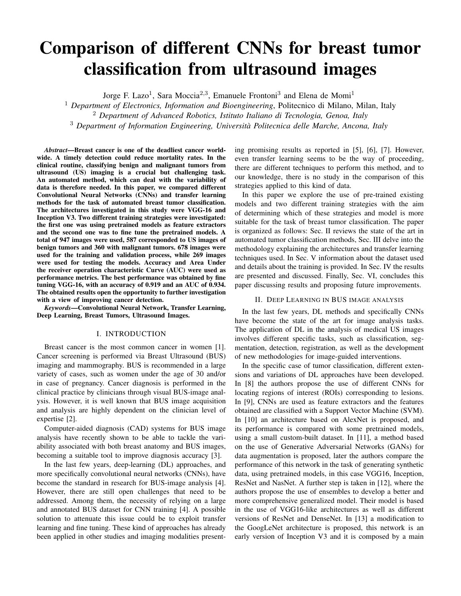branch and two auxiliary classifiers, specifically they suggest to remove the auxiliary classifiers from the main branch of the network. In [14] they compare different pre-trained models but only using fine-tuning. In this study they compare the CNNs ResNet50, InceptionV3, and Xception.

# III. PROPOSED METHODS

In this work, we investigated two different transfer learning techniques: (i) fine tuning and (ii) using pretrained CNNs as feature extractor. Each of these methods were tested using two different CNN architectures:

# *A. CNN architectures*

- VGG-16 is a 16-layer CNN model which has a sequential architecture consisting of 13 convolutional layers and 5 max-pooling layers [15]. The architecture starts with a convolutional layer with 64 kernels. This number is doubled after each pooling operation until it reaches 512. The pooling layer is placed after selected convolutional layers in order to reduce dimension in the activation maps and hence of the subsequent convolution layers. This in general reduces the number of parameters that the CNN needs to learn. The convolutional kernel size of all the convolutional layers in this model is 3x3. The model ends with three fully-connected (FC) layers with 64 neurons each, which perform the classification.
- Inception V3 [16] uses an architectural block called inception module, which consists of convolutional kernels with different sizes (1x1, 3x3 and 5x5) that are connected in parallel (Fig. 1). The use of different kernel sizes allows the identification of image features at different scales. Furthermore, Inception V3 uses not just one classifier but two, the second one is an auxiliary classifier which is used as regularizer. One of the main advantages of this model is that it is composed of about 23 million of parameters even it has 42 layers, therefore the computational cost for training this network is also less than the one needed to retrain VGG-16. However, given its more complex topology it is also harder to retrain.

#### *B. Transfer learning*

As introduced in Sec. I, training a CNN model from scratch requires a large number of computational resources as well as a fair amount of labeled data. It also often requires a considerable amount of time, even using several graphics processing units (GPUs).

Transfer learning allows making the training process more efficient by using a model that has already been trained on a different dataset. There are different ways to perform transfer learning, in this work fine tuning and feature extraction techniques were explored. The first one refers to re-adjust the weights of the new distribution of the new training data, i.e. to tune the weights of the CNN by training it on the new dataset for few epochs and with a low learning rate. Usually, only the weights in the last layers are retrained. In this work, both



Fig. 1: Diagram of the inception module. The module is composed by several convolutional kernels of size 1x1, 3x3 and 5x5 connected in parallel. The 1x1 kernels placed before the 3x3 and 5x5 is used to reduce the dimensionality of the feature map. The output of each of the branches is finally concatenated before getting into the next stage.



Fig. 2: Samples of two images from the BUSI dataset. Image with a benign tumor (left) and with a malignant tumor (right).

VGG 16 and Inception V3 were pretrained on ImageNet<sup>1</sup>, a dataset which has more than 14 million images belonging to 1000 classes. The second method, feature extraction, refers to use the whole network as a feature identifier, and then making use of the high level features, obtained from the network, in another classifier.

The fine-tuning strategy was performed by replacing the last fully connected layer composed by 2 neurons (one for the benign and the other for the malignant class), and then finetune different number of layers in the network. The layers chosen to be fine-tuned were the very last one up to the last 3 layers of each network.

In the case of the feature extraction method, an additional classifier was added and trained, this was composed by a Global Average Pooling Layer, a Fully connected layer with a Rectified Linear Unit (*ReLU*) activation function. Finally, a fully connected layer with *softmax* activation function and 2 neurons.

### IV. RESULTS

# *A. Dataset*

The data used for this work came from two public available datasets collected by the groups of Rodriguez et al.<sup>2</sup> and Fahmy et al.<sup>3</sup> The first dataset consists of  $250$  breast tumor

<sup>1</sup>http://www.image-net.org/

<sup>2</sup>https://data.mendeley.com/datasets/wmy84gzngw/1

<sup>3</sup>https://scholar.cu.edu.eg/?q=afahmy/pages/dataset